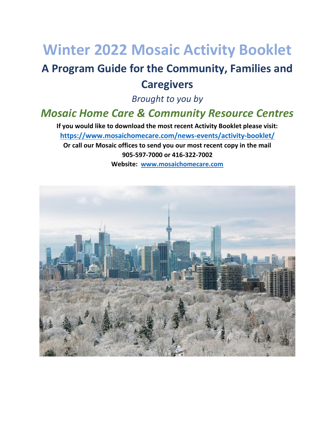# **Winter 2022 Mosaic Activity Booklet**

## **A Program Guide for the Community, Families and Caregivers**

*Brought to you by* 

## *Mosaic Home Care & Community Resource Centres*

**If you would like to download the most recent Activity Booklet please visit: <https://www.mosaichomecare.com/news-events/activity-booklet/> Or call our Mosaic offices to send you our most recent copy in the mail 905-597-7000 or 416-322-7002 Website: [www.mosaichomecare.com](http://www.mosaichomecare.com/)**

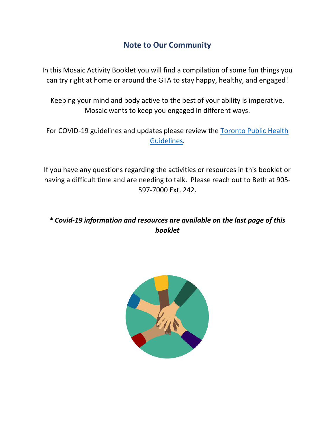## **Note to Our Community**

In this Mosaic Activity Booklet you will find a compilation of some fun things you can try right at home or around the GTA to stay happy, healthy, and engaged!

Keeping your mind and body active to the best of your ability is imperative. Mosaic wants to keep you engaged in different ways.

For COVID-19 guidelines and updates please review the [Toronto Public Health](https://covid-19.ontario.ca/zones-and-restrictions?gclid=Cj0KCQjwktKFBhCkARIsAJeDT0gNOtk8kUk01U2-0xf0l-RanyMVno0NYZgSIm03yByl17ytwd2Q64EaAt7kEALw_wcB&gclsrc=aw.ds)  [Guidelines.](https://covid-19.ontario.ca/zones-and-restrictions?gclid=Cj0KCQjwktKFBhCkARIsAJeDT0gNOtk8kUk01U2-0xf0l-RanyMVno0NYZgSIm03yByl17ytwd2Q64EaAt7kEALw_wcB&gclsrc=aw.ds)

If you have any questions regarding the activities or resources in this booklet or having a difficult time and are needing to talk. Please reach out to Beth at 905- 597-7000 Ext. 242.

*\* Covid-19 information and resources are available on the last page of this booklet*

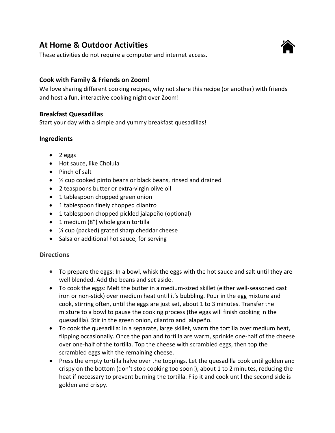## **At Home & Outdoor Activities**

These activities do not require a computer and internet access.

#### **Cook with Family & Friends on Zoom!**

We love sharing different cooking recipes, why not share this recipe (or another) with friends and host a fun, interactive cooking night over Zoom!

#### **Breakfast Quesadillas**

Start your day with a simple and yummy breakfast quesadillas!

#### **Ingredients**

- 2 eggs
- Hot sauce, like Cholula
- Pinch of salt
- ⅓ cup cooked pinto beans or black beans, rinsed and drained
- 2 teaspoons butter or extra-virgin olive oil
- 1 tablespoon chopped green onion
- 1 tablespoon finely chopped cilantro
- 1 tablespoon chopped pickled jalapeño (optional)
- 1 medium (8") whole grain tortilla
- ½ cup (packed) grated sharp cheddar cheese
- Salsa or additional hot sauce, for serving

#### **Directions**

- To prepare the eggs: In a bowl, whisk the eggs with the hot sauce and salt until they are well blended. Add the beans and set aside.
- To cook the eggs: Melt the butter in a medium-sized skillet (either well-seasoned cast iron or non-stick) over medium heat until it's bubbling. Pour in the egg mixture and cook, stirring often, until the eggs are just set, about 1 to 3 minutes. Transfer the mixture to a bowl to pause the cooking process (the eggs will finish cooking in the quesadilla). Stir in the green onion, cilantro and jalapeño.
- To cook the quesadilla: In a separate, large skillet, warm the tortilla over medium heat, flipping occasionally. Once the pan and tortilla are warm, sprinkle one-half of the cheese over one-half of the tortilla. Top the cheese with scrambled eggs, then top the scrambled eggs with the remaining cheese.
- Press the empty tortilla halve over the toppings. Let the quesadilla cook until golden and crispy on the bottom (don't stop cooking too soon!), about 1 to 2 minutes, reducing the heat if necessary to prevent burning the tortilla. Flip it and cook until the second side is golden and crispy.

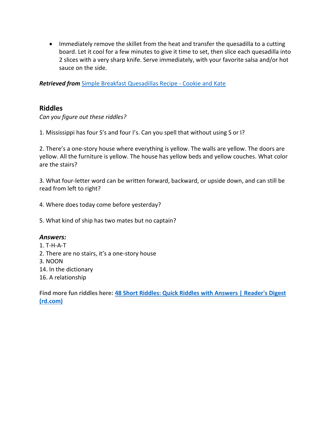• Immediately remove the skillet from the heat and transfer the quesadilla to a cutting board. Let it cool for a few minutes to give it time to set, then slice each quesadilla into 2 slices with a very sharp knife. Serve immediately, with your favorite salsa and/or hot sauce on the side.

*Retrieved from* [Simple Breakfast Quesadillas Recipe -](https://cookieandkate.com/simple-breakfast-quesadillas-recipe/) Cookie and Kate

#### **Riddles**

*Can you figure out these riddles?*

1. Mississippi has four S's and four I's. Can you spell that without using S or I?

2. There's a one-story house where everything is yellow. The walls are yellow. The doors are yellow. All the furniture is yellow. The house has yellow beds and yellow couches. What color are the stairs?

3. What four-letter word can be written forward, backward, or upside down, and can still be read from left to right?

4. Where does today come before yesterday?

5. What kind of ship has two mates but no captain?

#### *Answers:*

1. T-H-A-T 2. There are no stairs, it's a one-story house 3. NOON 14. In the dictionary 16. A relationship

**Find more fun riddles here: [48 Short Riddles: Quick Riddles with Answers | Reader's Digest](https://www.rd.com/article/short-riddles/)  [\(rd.com\)](https://www.rd.com/article/short-riddles/)**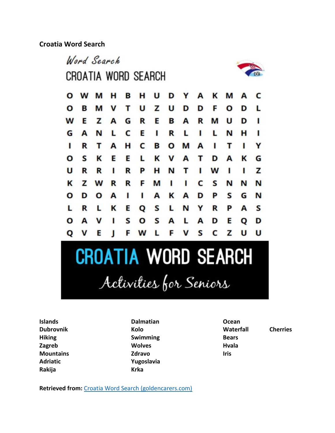**Croatia Word Search** 



**Islands Dubrovnik Hiking Zagreb Mountains Adriatic Rakija**

**Dalmatian Kolo Swimming Wolves Zdravo Yugoslavia Krka**

**Ocean Waterfall Cherries Bears Hvala Iris**

**Retrieved from:** [Croatia Word Search \(goldencarers.com\)](https://www.goldencarers.com/croatia-word-search/7666/)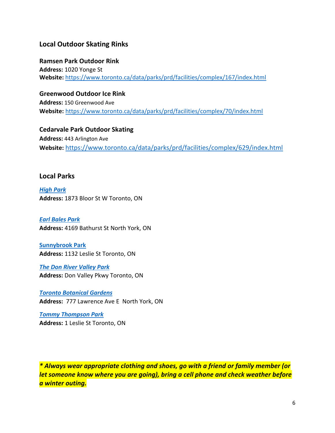#### **Local Outdoor Skating Rinks**

**Ramsen Park Outdoor Rink Address:** 1020 Yonge St **Website:** <https://www.toronto.ca/data/parks/prd/facilities/complex/167/index.html>

**Greenwood Outdoor Ice Rink** 

**Address:** 150 Greenwood Ave **Website:** <https://www.toronto.ca/data/parks/prd/facilities/complex/70/index.html>

**Cedarvale Park Outdoor Skating Address:** 443 Arlington Ave **Website:** <https://www.toronto.ca/data/parks/prd/facilities/complex/629/index.html>

#### **Local Parks**

*[High Park](http://www.highparktoronto.com/)* **Address:** 1873 Bloor St W Toronto, ON

*Earl [Bales](https://www.toronto.ca/data/parks/prd/) Park* **Address:** 4169 Bathurst St North York, ON

**[Sunnybrook Park](https://www.toronto.ca/data/parks/prd/facilities/complex/28/index.html) Address:** 1132 Leslie St Toronto, ON

*[The Don River Valley Park](https://donrivervalleypark.ca/?gclid=Cj0KCQjwktKFBhCkARIsAJeDT0hLGTb6ksR2CPqLSpLFJLbmqH4rdGu9yOFCn4xUNVrGbWBUA_n_HlsaAmk-EALw_wcB)* **Address:** Don Valley Pkwy Toronto, ON

*[Toronto Botanical Gardens](https://donrivervalleypark.ca/?gclid=Cj0KCQjwktKFBhCkARIsAJeDT0hLGTb6ksR2CPqLSpLFJLbmqH4rdGu9yOFCn4xUNVrGbWBUA_n_HlsaAmk-EALw_wcB)* **Address:** 777 Lawrence Ave E North York, O[N](https://trca.ca/parks/tommy-thompson-park/?gclid=Cj0KCQjwktKFBhCkARIsAJeDT0gK7cGcVqrlFSSE9S4GsDjrC_cpqEnmZQdVMFpk4MckKDhotSY4xTsaAljzEALw_wcB)

*[Tommy Thompson Park](https://trca.ca/parks/tommy-thompson-park/?gclid=Cj0KCQjwktKFBhCkARIsAJeDT0gK7cGcVqrlFSSE9S4GsDjrC_cpqEnmZQdVMFpk4MckKDhotSY4xTsaAljzEALw_wcB)* **Address:** 1 Leslie St Toronto, ON

*\* Always wear appropriate clothing and shoes, go with a friend or family member (or let someone know where you are going), bring a cell phone and check weather before a winter outing.*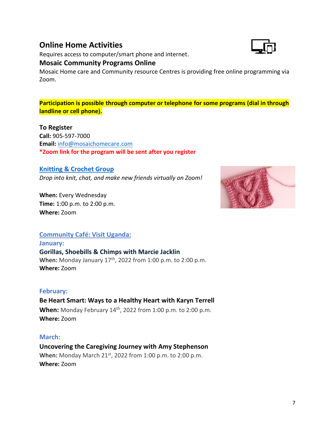## **Online Home Activities**

Requires access to computer/smart phone and internet.

#### **Mosaic Community Programs Online**

Mosaic Home care and Community resource Centres is providing free online programming via Zoom.

**Participation is possible through computer or telephone for some programs (dial in through landline or cell phone).**

#### **To Register**

**Call:** 905-597-7000 **Email:** [info@mosaichomecare.com](mailto:info@mosaichomecare.com) **\*Zoom link for the program will be sent after you register**

#### **[Knitting & Crochet Group](https://mosaichomecare.com/events/mosaics-knitting-crochet-group-on-zoom/)**

*Drop into knit, chat, and make new friends virtually on Zoom!*

**When:** Every Wednesday **Time:** 1:00 p.m. to 2:00 p.m. **Where:** Zoom



#### **[Community Café: Visit Uganda:](file:///C:/Users/BethEshete/OneDrive%20-%20Mosaic%20Home%20Care%20Ltd/Public/SHARED%20FOLDERS/JANE_BETH_JENNIFER/JANE_BETH_JENNIFER/2022_Newsletter_Q1%20January%20to%20March/Program%20Flyers/1_High%20Resolution/NOV2021_ZOOM_Mosaic)**

**[January:](file:///C:/Users/BethEshete/OneDrive%20-%20Mosaic%20Home%20Care%20Ltd/Public/SHARED%20FOLDERS/JANE_BETH_JENNIFER/JANE_BETH_JENNIFER/2022_Newsletter_Q1%20January%20to%20March/Program%20Flyers/1_High%20Resolution/NOV2021_ZOOM_Mosaic) [Gorillas, Shoebills & Chimps with Marcie Jacklin](file:///C:/Users/BethEshete/OneDrive%20-%20Mosaic%20Home%20Care%20Ltd/Public/SHARED%20FOLDERS/JANE_BETH_JENNIFER/JANE_BETH_JENNIFER/2022_Newsletter_Q1%20January%20to%20March/Program%20Flyers/1_High%20Resolution/NOV2021_ZOOM_Mosaic)** When: Monday January 17<sup>th</sup>, 2022 from 1:00 p.m. to 2:00 p.m. **Where:** Zoom

#### **February:**

### **Be Heart Smart: Ways to a Healthy Heart with Karyn Terrell**

**When:** Monday February 14<sup>th</sup>, 2022 from 1:00 p.m. to 2:00 p.m. **Where:** Zoom

#### **March:**

**Uncovering the Caregiving Journey with Amy Stephenson When:** Monday March 21st, 2022 from 1:00 p.m. to 2:00 p.m. **Where:** Zoom

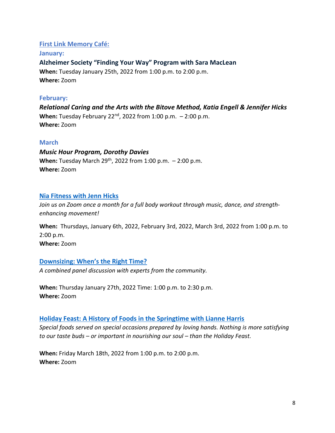#### **[First Link Memory Café:](file:///C:/Users/BethEshete/OneDrive%20-%20Mosaic%20Home%20Care%20Ltd/Public/SHARED%20FOLDERS/JANE_BETH_JENNIFER/JANE_BETH_JENNIFER/2022_Newsletter_Q1%20January%20to%20March/Program%20Flyers/1_High%20Resolution/NOV2021_Mosaic_First%20Link%20Memory%20Cafe%20Program%20Speakers_HR.pdf)**

**[January:](file:///C:/Users/BethEshete/OneDrive%20-%20Mosaic%20Home%20Care%20Ltd/Public/SHARED%20FOLDERS/JANE_BETH_JENNIFER/JANE_BETH_JENNIFER/2022_Newsletter_Q1%20January%20to%20March/Program%20Flyers/1_High%20Resolution/NOV2021_Mosaic_First%20Link%20Memory%20Cafe%20Program%20Speakers_HR.pdf) Alzheimer Society ["Finding Your Way" Program with Sara MacLean](file:///C:/Users/BethEshete/OneDrive%20-%20Mosaic%20Home%20Care%20Ltd/Public/SHARED%20FOLDERS/JANE_BETH_JENNIFER/JANE_BETH_JENNIFER/2022_Newsletter_Q1%20January%20to%20March/Program%20Flyers/1_High%20Resolution/NOV2021_Mosaic_First%20Link%20Memory%20Cafe%20Program%20Speakers_HR.pdf) When:** Tuesday January 25th, 2022 from 1:00 p.m. to 2:00 p.m. **Where:** Zoom

#### **February:**

*Relational Caring and the Arts with the Bitove Method, Katia Engell & Jennifer Hicks* **When:** Tuesday February 22nd, 2022 from 1:00 p.m. – 2:00 p.m. **Where:** Zoom

#### **March**

*Music Hour Program, Dorothy Davies* **When:** Tuesday March 29<sup>th</sup>, 2022 from 1:00 p.m. - 2:00 p.m. **Where:** Zoom

#### **[Nia Fitness with Jenn Hicks](https://mosaichomecare.com/events/nia-fitness-on-zoom-with-jenn-hicks/)**

*Join us on Zoom once a month for a full body workout through music, dance, and strengthenhancing movement!*

**When:** Thursdays, January 6th, 2022, February 3rd, 2022, March 3rd, 2022 from 1:00 p.m. to 2:00 p.m. **Where:** Zoom

#### **[Downsizing: When's the Right Time?](https://mosaichomecare.com/events/mosaic-home-care-panel-discussion-on-line-whens-the-right-time/)**

*A combined panel discussion with experts from the community.*

**When:** Thursday January 27th, 2022 Time: 1:00 p.m. to 2:30 p.m. **Where:** Zoom

#### **[Holiday Feast: A History of Foods in the Springtime with Lianne Harris](https://mosaichomecare.com/events/the-holiday-feast-a-history-of-special-foods-in-the-springtime-with-lianne-harris/)**

*Special foods served on special occasions prepared by loving hands. Nothing is more satisfying to our taste buds – or important in nourishing our soul – than the Holiday Feast.*

**When:** Friday March 18th, 2022 from 1:00 p.m. to 2:00 p.m. **Where:** Zoom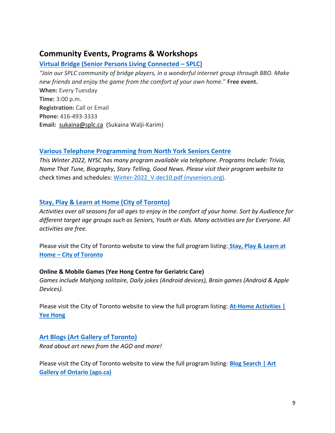## **Community Events, Programs & Workshops**

#### **[Virtual Bridge \(Senior Persons Living Connected](https://www.splc.ca/) – SPLC)**

*"Join our SPLC community of bridge players, in a wonderful internet group through BBO. Make new friends and enjoy the game from the comfort of your own home.*" **Free event. When:** Every Tuesday **Time:** 3:00 p.m. **Registration:** Call or Email **Phone:** 416-493-3333 **Email:** [sukaina@splc.ca](mailto:sukaina@splc.ca) (Sukaina Walji-Karim)

#### **[Various Telephone Programming](https://www.nyseniors.org/wp-content/uploads/Winter-2022_V.dec10.pdf) from North York Seniors Centre**

*This Winter 2022, NYSC has many program available via telephone. Programs Include: Trivia, Name That Tune, Biography, Story Telling, Good News. Please visit their program website to*  check times and schedules: [Winter-2022\\_V.dec10.pdf \(nyseniors.org\)](https://www.nyseniors.org/wp-content/uploads/Winter-2022_V.dec10.pdf).

#### **Stay, Play & Learn [at Home \(City of Toronto\)](https://www.toronto.ca/explore-enjoy/recreation/covid-19-stay-play-learn-at-home/)**

*Activities over all seasons for all ages to enjoy in the comfort of your home. Sort by Audience for different target age groups such as Seniors, Youth or Kids. Many activities are for Everyone. All activities are free.*

Please visit the City of Toronto website to view the full program listing: **[Stay, Play & Learn at](https://www.toronto.ca/explore-enjoy/recreation/covid-19-stay-play-learn-at-home/)  Home – [City of Toronto](https://www.toronto.ca/explore-enjoy/recreation/covid-19-stay-play-learn-at-home/)**

#### **Online & Mobile Games (Yee Hong Centre for Geriatric Care)**

*Games include Mahjong solitaire, Daily jokes (Android devices), Brain games (Android & Apple Devices).* 

Please visit the City of Toronto website to view the full program listing: **[At-Home Activities |](https://www.yeehong.com/centre/cso/activities/)  [Yee Hong](https://www.yeehong.com/centre/cso/activities/)**

#### **[Art Blogs \(Art Gallery of Toronto\)](https://ago.ca/agoinsider/results?category=3488)**

*Read about art news from the AGO and more!*

Please visit the City of Toronto website to view the full program listing: **[Blog Search | Art](https://ago.ca/agoinsider/results?category=3488)  [Gallery of Ontario \(ago.ca\)](https://ago.ca/agoinsider/results?category=3488)**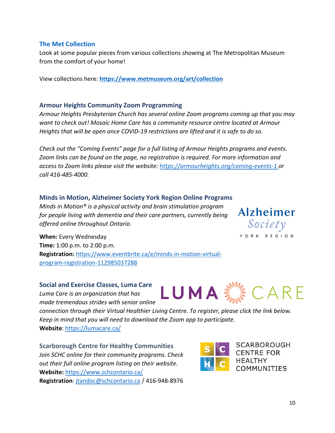#### **The Met Collection**

Look at some popular pieces from various collections showing at The Metropolitan Museum from the comfort of your home!

View collections here: **<https://www.metmuseum.org/art/collection>**

#### **Armour Heights Community Zoom Programming**

*Armour Heights Presbyterian Church has several online Zoom programs coming up that you may want to check out! Mosaic Home Care has a community resource centre located at Armour Heights that will be open once COVID-19 restrictions are lifted and it is safe to do so.* 

*Check out the "Coming Events" page for a full listing of Armour Heights programs and events. Zoom links can be found on the page, no registration is required. For more information and access to Zoom links please visit the website: <https://armourheights.org/coming-events-1> or call 416-485-4000.* 

#### **Minds in Motion, Alzheimer Society York Region Online Programs**

*Minds in Motion® is a physical activity and brain stimulation program for people living with dementia and their care partners, currently being offered online throughout Ontario.*

**When:** Every Wednesday **Time:** 1:00 p.m. to 2:00 p.m. **Registration:** [https://www.eventbrite.ca/e/minds-in-motion-virtual](https://www.eventbrite.ca/e/minds-in-motion-virtual-program-registration-112985037288)[program-registration-112985037288](https://www.eventbrite.ca/e/minds-in-motion-virtual-program-registration-112985037288)

**Social and Exercise Classes, Luma Care** *Luma Care is an organization that has made tremendous strides with senior online* 

*connection through their Virtual Healthier Living Centre. To register, please click the link below. Keep in mind that you will need to download the Zoom app to participate.*  **Website**:<https://lumacare.ca/>

**Scarborough Centre for Healthy Communities** *Join SCHC online for their community programs. Check out their full online program listing on their website.* **Website:** <https://www.schcontario.ca/> **Registration**: [jtandoc@schcontario.ca](mailto:jtandoc@schcontario.ca) / 416-948-8976



LUMA & CARE

**SCARBOROUGH CENTRE FOR HEALTHY COMMUNITIES** 

**Alzheimer** 

Society Y O R K R E G I O N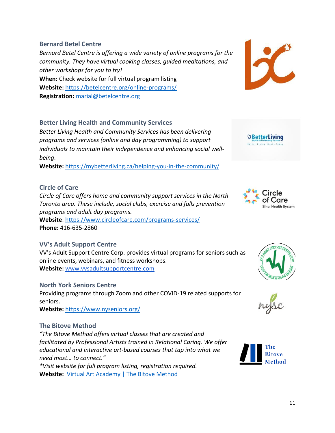**Bernard Betel Centre** *Bernard Betel Centre is offering a wide variety of online programs for the community. They have virtual cooking classes, guided meditations, and other workshops for you to try!* **When:** Check website for full virtual program listing **Website:** <https://betelcentre.org/online-programs/> **Registration:** [marial@betelcentre.org](mailto:marial@betelcentre.org)

#### **Better Living Health and Community Services**

*Better Living Health and Community Services has been delivering programs and services (online and day programming) to support individuals to maintain their independence and enhancing social wellbeing*.

**Website:** <https://mybetterliving.ca/helping-you-in-the-community/>

#### **Circle of Care**

*Circle of Care offers home and community support services in the North Toronto area. These include, social clubs, exercise and falls prevention programs and adult day programs.*

**Website**:<https://www.circleofcare.com/programs-services/> **Phone:** 416-635-2860

#### **VV's Adult Support Centre**

VV's Adult Support Centre Corp. provides virtual programs for seniors such as online events, webinars, and fitness workshops. **Website:** [www.vvsadultsupportcentre.com](http://www.vvsadultsupportcentre.com/)

#### **North York Seniors Centre**

Providing programs through Zoom and other COVID-19 related supports for seniors.

**Website:** <https://www.nyseniors.org/>

#### **The Bitove Method**

*"The Bitove Method offers virtual classes that are created and facilitated by Professional Artists trained in Relational Caring. We offer educational and interactive art-based courses that tap into what we need most… to connect."*

*\*Visit website for full program listing, registration required.* **Website:** [Virtual Art Academy | The Bitove Method](https://www.thebitovemethod.com/?utm_campaign=71518750-8f57-40b4-a415-85304eba54ed&utm_source=so&utm_medium=mail&cid=0db0a3dc-aa31-4429-97d1-3fae23de97f3)









ircle: **Health System** 

*<u>* BetterLiving</u> **Letter Living Starts T**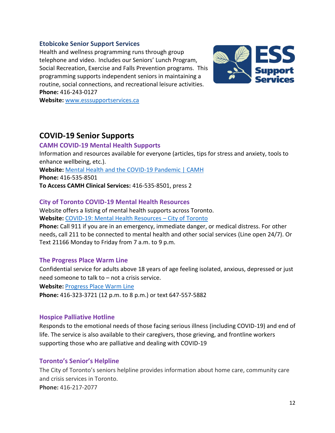#### **Etobicoke Senior Support Services**

Health and wellness programming runs through group telephone and video. Includes our Seniors' Lunch Program, Social Recreation, Exercise and Falls Prevention programs. This programming supports independent seniors in maintaining a routine, social connections, and recreational leisure activities. **Phone:** 416-243-0127



**Website:** [www.esssupportservices.ca](http://www.esssupportservices.ca/)

### **COVID-19 Senior Supports**

#### **CAMH COVID-19 Mental Health Supports**

Information and resources available for everyone (articles, tips for stress and anxiety, tools to enhance wellbeing, etc.).

**Website:** [Mental Health and the COVID-19 Pandemic | CAMH](https://www.camh.ca/en/health-info/mental-health-and-covid-19) **Phone:** 416-535-8501

**To Access CAMH Clinical Services:** 416-535-8501, press 2

#### **City of Toronto COVID-19 Mental Health Resources**

Website offers a listing of mental health supports across Toronto.

**Website:** [COVID-19: Mental Health Resources](https://www.toronto.ca/home/covid-19/covid-19-protect-yourself-others/covid-19-mental-health-resources/) – City of Toronto

**Phone:** Call 911 if you are in an emergency, immediate danger, or medical distress. For other needs, call 211 to be connected to mental health and other social services (Line open 24/7). Or Text 21166 Monday to Friday from 7 a.m. to 9 p.m.

#### **The Progress Place Warm Line**

Confidential service for adults above 18 years of age feeling isolated, anxious, depressed or just need someone to talk to – not a crisis service. **Website:** [Progress Place Warm Line](http://www.warmline.ca/)

**Phone:** 416-323-3721 (12 p.m. to 8 p.m.) or text 647-557-5882

#### **Hospice Palliative Hotline**

Responds to the emotional needs of those facing serious illness (including COVID-19) and end of life. The service is also available to their caregivers, those grieving, and frontline workers supporting those who are palliative and dealing with COVID-19

#### **Toronto's Senior's Helpline**

The City of Toronto's seniors helpline provides information about home care, community care and crisis services in Toronto. **Phone:** 416-217-2077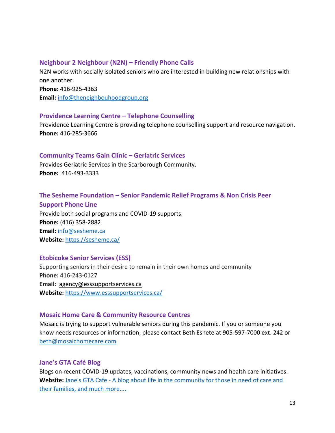#### **Neighbour 2 Neighbour (N2N) – Friendly Phone Calls**

N2N works with socially isolated seniors who are interested in building new relationships with one another. **Phone:** 416-925-4363 **Email:** [info@theneighbouhoodgroup.org](mailto:info@theneighbouhoodgroup.org)

#### **Providence Learning Centre – Telephone Counselling**

Providence Learning Centre is providing telephone counselling support and resource navigation. **Phone:** 416-285-3666

#### **Community Teams Gain Clinic – Geriatric Services**

Provides Geriatric Services in the Scarborough Community. **Phone:** 416-493-3333

#### **The Sesheme Foundation – Senior Pandemic Relief Programs & Non Crisis Peer**

**Support Phone Line** Provide both social programs and COVID-19 supports. **Phone:** (416) 358-2882 **Email:** [info@sesheme.ca](mailto:info@sesheme.ca) **Website:** <https://sesheme.ca/>

#### **Etobicoke Senior Services (ESS)**

Supporting seniors in their desire to remain in their own homes and community **Phone:** 416-243-0127 **Email:** [agency@esssupportservices.ca](mailto:agency@esssupportservices.ca) **Website:** <https://www.esssupportservices.ca/>

#### **Mosaic Home Care & Community Resource Centres**

Mosaic is trying to support vulnerable seniors during this pandemic. If you or someone you know needs resources or information, please contact Beth Eshete at 905-597-7000 ext. 242 or [beth@mosaichomecare.com](mailto:beth@mosaichomecare.com)

#### **Jane's GTA Café Blog**

Blogs on recent COVID-19 updates, vaccinations, community news and health care initiatives. Website: Jane's GTA Cafe - A blog about life in the community for those in need of care and [their families, and much more....](https://janesgtacafe.ca/)